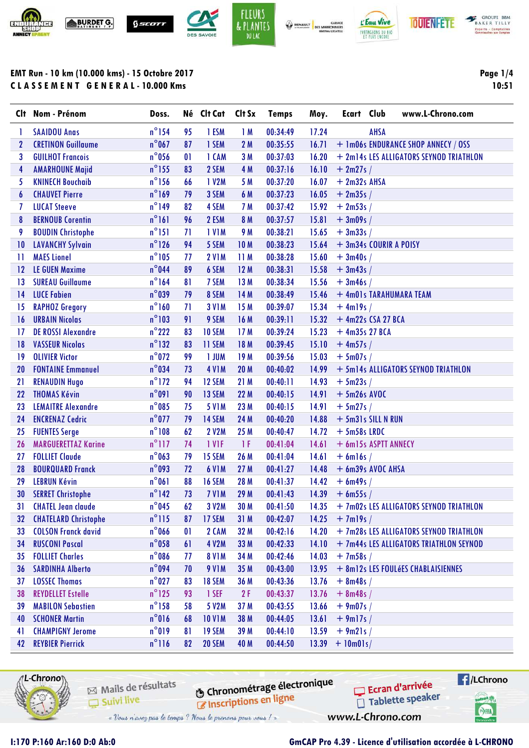







**BAKER TILLY** Experts - Comptables<br>Completeles aix Complet

## **EMT Run - 10 km (10.000 kms) - 15 Octobre 2017 C L A S S E M E N T G E N E R A L - 10.000 Kms**

**Page 1/4 10:51**

|                  | Clt Nom - Prénom            | Doss.           |              | Né Clt Cat    | Clt Sx          | <b>Temps</b> | Moy.  | Ecart Club       |                         | www.L-Chrono.com                        |
|------------------|-----------------------------|-----------------|--------------|---------------|-----------------|--------------|-------|------------------|-------------------------|-----------------------------------------|
| 1                | <b>SAAIDOU Anas</b>         | $n^{\circ}$ 154 | 95           | 1 ESM         | 1M              | 00:34:49     | 17.24 |                  | AHSA                    |                                         |
| $\boldsymbol{2}$ | <b>CRETINON Guillaume</b>   | $n^{\circ}$ 067 | 87           | 1 SEM         | 2M              | 00:35:55     | 16.71 |                  |                         | + 1m06s ENDURANCE SHOP ANNECY / OSS     |
| 3                | <b>GUILHOT Francois</b>     | $n^{\circ}$ 056 | 01           | 1 CAM         | 3M              | 00:37:03     | 16.20 |                  |                         | + 2m14s LES ALLIGATORS SEYNOD TRIATHLON |
| 4                | <b>AMARHOUNE Majid</b>      | $n^{\circ}$ 155 | 83           | 2 SEM         | 4 M             | 00:37:16     | 16.10 | $+2m27s/$        |                         |                                         |
| 5                | <b>KNINECH Bouchaib</b>     | $n^{\circ}$ 156 | 66           | 1 V2M         | 5 M             | 00:37:20     | 16.07 | $+ 2m32s$ AHSA   |                         |                                         |
| 6                | <b>CHAUVET Pierre</b>       | $n^{\circ}169$  | 79           | 3 SEM         | 6 M             | 00:37:23     | 16.05 | $+2m35s/$        |                         |                                         |
| 7                | <b>LUCAT Steeve</b>         | $n^{\circ}$ 149 | 82           | 4 SEM         | 7 M             | 00:37:42     | 15.92 | $+2m53s/$        |                         |                                         |
| 8                | <b>BERNOUB Corentin</b>     | $n^{\circ}$ 161 | 96           | 2 ESM         | 8 M             | 00:37:57     | 15.81 | $+3m09s/$        |                         |                                         |
| 9                | <b>BOUDIN Christophe</b>    | $n^{\circ}$ 151 | 71           | <b>IVIM</b>   | 9 M             | 00:38:21     | 15.65 | $+3m33s/$        |                         |                                         |
| 10               | <b>LAVANCHY Sylvain</b>     | $n^{\circ}$ 126 | 94           | 5 SEM         | 10M             | 00:38:23     | 15.64 |                  | + 3m34s COURIR A POISY  |                                         |
| -11              | <b>MAES Lionel</b>          | $n^{\circ}105$  | 77           | <b>2 V1M</b>  | 11M             | 00:38:28     | 15.60 | $+3m40s/$        |                         |                                         |
| 12               | <b>LE GUEN Maxime</b>       | $n^{\circ}$ 044 | 89           | 6 SEM         | 12M             | 00:38:31     | 15.58 | $+3m43s/$        |                         |                                         |
| 13               | <b>SUREAU Guillaume</b>     | $n^{\circ}$ 164 | 81           | 7 SEM         | 13M             | 00:38:34     | 15.56 | $+3m46s/$        |                         |                                         |
| $\overline{14}$  | <b>LUCE Fabien</b>          | $n^{\circ}$ 039 | 79           | 8 SEM         | 14 M            | 00:38:49     | 15.46 |                  | + 4m01s TARAHUMARA TEAM |                                         |
| 15               | <b>RAPHOZ Gregory</b>       | $n^{\circ}$ 160 | 71           | <b>3 V1M</b>  | 15 M            | 00:39:07     | 15.34 | $+$ 4ml9s /      |                         |                                         |
| 16               | <b>URBAIN Nicolas</b>       | $n^{\circ}103$  | 91           | 9 SEM         | 16 M            | 00:39:11     | 15.32 |                  | $+$ 4m22s CSA 27 BCA    |                                         |
| 17               | <b>DE ROSSI Alexandre</b>   | $n^{\circ}$ 222 | 83           | 10 SEM        | 17 <sub>M</sub> | 00:39:24     | 15.23 | $+$ 4m35s 27 BCA |                         |                                         |
| 18               | <b>VASSEUR Nicolas</b>      | $n^{\circ}$ 132 | 83           | 11 SEM        | 18 M            | 00:39:45     | 15.10 | $+$ 4m57s /      |                         |                                         |
| 19               | <b>OLIVIER Victor</b>       | $n^{\circ}$ 072 | 99           | 1 JUM         | 19 <sub>M</sub> | 00:39:56     | 15.03 | $+5m07s/$        |                         |                                         |
| 20               | <b>FONTAINE Emmanuel</b>    | $n^{\circ}034$  | 73           | <b>4 V1M</b>  | 20 <sub>M</sub> | 00:40:02     | 14.99 |                  |                         | + 5m14s ALLIGATORS SEYNOD TRIATHLON     |
| 21               | <b>RENAUDIN Hugo</b>        | $n^{\circ}$ 172 | 94           | 12 SEM        | 21 M            | 00:40:11     | 14.93 | $+5m23s/$        |                         |                                         |
| 22               | <b>THOMAS Kévin</b>         | $n^{\circ}091$  | 90           | 13 SEM        | 22 M            | 00:40:15     | 14.91 | $+5m26s$ AVOC    |                         |                                         |
| 23               | <b>LEMAITRE Alexandre</b>   | $n^{\circ}085$  | 75           | <b>5 V1M</b>  | 23 M            | 00:40:15     | 14.91 | $+5m27s/$        |                         |                                         |
| 24               | <b>ENCRENAZ Cedric</b>      | $n^{\circ}$ 077 | 79           | 14 SEM        | 24 M            | 00:40:20     | 14.88 |                  | + 5m31s SILL N RUN      |                                         |
| 25               | <b>FUENTES Serge</b>        | $n^{\circ}108$  | 62           | <b>2 V2M</b>  | 25 M            | 00:40:47     | 14.72 | $+5m58s$ LRDC    |                         |                                         |
| 26               | <b>MARGUERETTAZ Karine</b>  | $n^{\circ}$ 117 | 74           | 1 VIF         | -1 F            | 00:41:04     | 14.61 |                  | + 6m15s ASPTT ANNECY    |                                         |
| 27               | <b>FOLLIET Claude</b>       | $n^{\circ}$ 063 | 79           | 15 SEM        | 26 M            | 00:41:04     | 14.61 | $+$ 6ml6s /      |                         |                                         |
| 28               | <b>BOURQUARD Franck</b>     | $n^{\circ}$ 093 | 72           | <b>6 V1M</b>  | 27 M            | 00:41:27     | 14.48 |                  | + 6m39s AVOC AHSA       |                                         |
| 29               | <b>LEBRUN Kévin</b>         | $n^{\circ}061$  | 88           | <b>16 SEM</b> | 28 M            | 00:41:37     | 14.42 | $+$ 6m49s /      |                         |                                         |
| 30               | <b>SERRET Christophe</b>    | $n^{\circ}$ 142 | 73           | <b>7 V1M</b>  | 29 M            | 00:41:43     | 14.39 | $+$ 6m55s /      |                         |                                         |
| 31               | <b>CHATEL Jean claude</b>   | $n^{\circ}045$  | 62           | 3 V2M         | 30 M            | 00:41:50     | 14.35 |                  |                         | + 7m02s LES ALLIGATORS SEYNOD TRIATHLON |
| 32 <sub>2</sub>  | <b>CHATELARD Christophe</b> | $n^{\circ}$ 115 | 87           | 17 SEM        | 31 M            | 00:42:07     | 14.25 | $+ 7$ ml9s /     |                         |                                         |
| 33               | <b>COLSON Franck david</b>  | $n^{\circ}$ 066 | $\mathbf{0}$ | 2 CAM         | 32 M            | 00:42:16     | 14.20 |                  |                         | + 7m28s LES ALLIGATORS SEYNOD TRIATHLON |
| 34               | <b>RUSCONI Pascal</b>       | $n^{\circ}$ 058 | 61           | 4 V2M         | 33 M            | 00:42:33     | 14.10 |                  |                         | + 7m44s LES ALLIGATORS TRIATHLON SEYNOD |
| 35               | <b>FOLLIET Charles</b>      | $n^{\circ}$ 086 | 77           | <b>8 V1M</b>  | 34 M            | 00:42:46     | 14.03 | $+7m58s/$        |                         |                                         |
| 36               | <b>SARDINHA Alberto</b>     | $n^{\circ}$ 094 | 70           | <b>9 V1M</b>  | 35 M            | 00:43:00     | 13.95 |                  |                         | + 8m12s LES FOULÉES CHABLAISIENNES      |
| 37               | <b>LOSSEC Thomas</b>        | $n^{\circ}$ 027 | 83           | <b>18 SEM</b> | 36 M            | 00:43:36     | 13.76 | $+ 8m48s/$       |                         |                                         |
| 38               | <b>REYDELLET Estelle</b>    | $n^{\circ}$ 125 | 93           | 1 SEF         | 2F              | 00:43:37     | 13.76 | $+ 8m48s/$       |                         |                                         |
| 39               | <b>MABILON Sebastien</b>    | $n^{\circ}$ 158 | 58           | 5 V2M         | 37 M            | 00:43:55     | 13.66 | $+9m07s/$        |                         |                                         |
| 40               | <b>SCHONER Martin</b>       | $n^{\circ}016$  | 68           | <b>10 V1M</b> | 38 M            | 00:44:05     | 13.61 | $+$ 9ml7s /      |                         |                                         |
| 41               | <b>CHAMPIGNY Jerome</b>     | $n^{\circ}019$  | 81           | <b>19 SEM</b> | 39 M            | 00:44:10     | 13.59 | $+9m21s/$        |                         |                                         |
| 42               | <b>REYBIER Pierrick</b>     | $n^{\circ}116$  | 82           | 20 SEM        | 40 M            | 00:44:50     | 13.39 | $+$ 10m01s/      |                         |                                         |



Mails de résultats Suivi live

**6** Chronométrage électronique **Chronomeu age**<br> **Chronomeu age** 

**A**/LChrono Ecran d'arrivée Tablette speaker



www.L-Chrono.com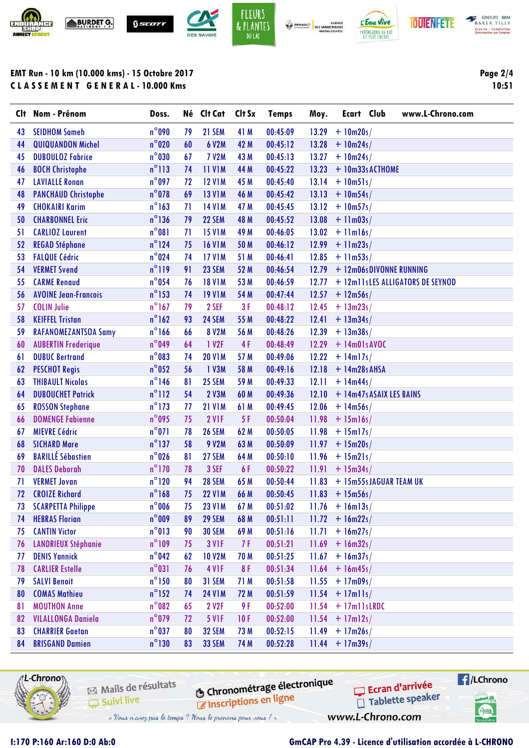



| <b>BRISGAND Damien</b> |                                                          | $n^{\circ}130$ | 83 | <b>33 SEM</b> | 74 M | 00:52:28                                                     | $11.44 + 17m39$                     |                         |
|------------------------|----------------------------------------------------------|----------------|----|---------------|------|--------------------------------------------------------------|-------------------------------------|-------------------------|
| 1L-Chrono∖\            |                                                          |                |    |               |      |                                                              |                                     | $\blacksquare$ /LChrono |
|                        | Mails de résultats<br>Suivi live                         |                |    |               |      | <b>O Chronométrage électronique</b><br>Inscriptions en ligne | Ecran d'arrivée<br>Tablette speaker |                         |
| Control Roll           | - Vans n'avez pas le temps ? Naus le prenons paus vans / |                |    |               |      |                                                              | www.L-Chrono.com                    | SHA                     |

| Clt | Nom - Prénom                | Doss.           |    | Né Clt Cat        | Clt Sx | <b>Temps</b> | Moy.  | Ecart Club<br>www.L-Chrono.com    |
|-----|-----------------------------|-----------------|----|-------------------|--------|--------------|-------|-----------------------------------|
| 43  | <b>SEIDHOM Sameh</b>        | $n^{\circ}$ 090 | 79 | 21 SEM            | 41 M   | 00:45:09     | 13.29 | $+ 10 m 20 s/$                    |
| 44  | <b>QUIQUANDON Michel</b>    | $n^{\circ}$ 020 | 60 | <b>6 V2M</b>      | 42 M   | 00:45:12     | 13.28 | $+ 10m24s/$                       |
| 45  | <b>DUBOULOZ Fabrice</b>     | $n^{\circ}$ 030 | 67 | <b>7 V2M</b>      | 43 M   | 00:45:13     | 13.27 | $+ 10m24s/$                       |
| 46  | <b>BOCH Christophe</b>      | $n^{\circ}113$  | 74 | <b>11 V1M</b>     | 44 M   | 00:45:22     | 13.23 | $+ 10m33$ : ACTHOME               |
| 47  | <b>LAVIALLE Ronan</b>       | $n^{\circ}$ 097 | 72 | <b>12 V1M</b>     | 45 M   | 00:45:40     | 13.14 | $+ 10m51s/$                       |
| 48  | <b>PANCHAUD Christophe</b>  | $n^{\circ}$ 078 | 69 | <b>13 V1M</b>     | 46 M   | 00:45:42     | 13.13 | $+ 10m54s/$                       |
| 49  | <b>CHOKAIRI Karim</b>       | $n^{\circ}$ 163 | 71 | <b>14 V1M</b>     | 47 M   | 00:45:45     | 13.12 | $+ 10m57s/$                       |
| 50  | <b>CHARBONNEL Eric</b>      | $n^{\circ}$ 136 | 79 | 22 SEM            | 48 M   | 00:45:52     | 13.08 | $+$ 11m03s/                       |
| 51  | <b>CARLIOZ Laurent</b>      | $n^{\circ}081$  | 71 | <b>15 V1M</b>     | 49 M   | 00:46:05     | 13.02 | $+$ 11m16s/                       |
| 52  | <b>REGAD Stéphane</b>       | $n^{\circ}$ 124 | 75 | <b>16 V1M</b>     | 50 M   | 00:46:12     | 12.99 | $+$ 11m23s/                       |
| 53  | <b>FALQUE Cédric</b>        | $n^{\circ}024$  | 74 | <b>17 V1M</b>     | 51 M   | 00:46:41     | 12.85 | $+ 11m53s/$                       |
| 54  | <b>VERMET Svend</b>         | $n^{\circ}119$  | 91 | 23 SEM            | 52 M   | 00:46:54     | 12.79 | + 12m06sDIVONNE RUNNING           |
| 55  | <b>CARME Renaud</b>         | $n^{\circ}$ 054 | 76 | <b>18 V1M</b>     | 53 M   | 00:46:59     | 12.77 | + 12m11s LES ALLIGATORS DE SEYNOD |
| 56  | <b>AVOINE Jean-Francois</b> | $n^{\circ}$ 153 | 74 | <b>19 V1M</b>     | 54 M   | 00:47:44     | 12.57 | $+ 12m56s/$                       |
| 57  | <b>COLIN Julie</b>          | $n^{\circ}$ 167 | 79 | 2 SEF             | 3F     | 00:48:12     | 12.45 | $+ 13m23s/$                       |
| 58  | <b>KEIFFEL Tristan</b>      | $n^{\circ}$ 162 | 93 | 24 SEM            | 55 M   | 00:48:22     | 12.41 | $+ 13m34s/$                       |
| 59  | <b>RAFANOMEZANTSOA Samy</b> | $n^{\circ}$ 166 | 66 | <b>8 V2M</b>      | 56 M   | 00:48:26     | 12.39 | $+ 13m38s/$                       |
| 60  | <b>AUBERTIN Frederique</b>  | $n^{\circ}049$  | 64 | 1 V2F             | 4F     | 00:48:49     | 12.29 | $+$ 14m01: AVOC                   |
| 61  | <b>DUBUC Bertrand</b>       | $n^{\circ}083$  | 74 | <b>20 V1M</b>     | 57 M   | 00:49:06     | 12.22 | $+ 14$ m $17s/$                   |
| 62  | <b>PESCHOT Regis</b>        | $n^{\circ}$ 052 | 56 | 1 V3M             | 58 M   | 00:49:16     | 12.18 | $+ 14m28$ : AHSA                  |
| 63  | <b>THIBAULT Nicolas</b>     | $n^{\circ}$ 146 | 81 | 25 SEM            | 59 M   | 00:49:33     | 12.11 | $+ 14m44s/$                       |
| 64  | <b>DUBOUCHET Patrick</b>    | $n^{\circ}112$  | 54 | <b>2 V3M</b>      | 60 M   | 00:49:36     | 12.10 | + 14m47s ASAIX LES BAINS          |
| 65  | <b>ROSSON Stephane</b>      | $n^{\circ}$ 173 | 77 | <b>21 V1M</b>     | 61 M   | 00:49:45     | 12.06 | $+ 14m56s/$                       |
| 66  | <b>DOMENGE Fabienne</b>     | $n^{\circ}$ 095 | 75 | 2 VIF             | 5F     | 00:50:04     | 11.98 | $+ 15ml6s/$                       |
| 67  | <b>MIEVRE Cédric</b>        | $n^{\circ}071$  | 78 | <b>26 SEM</b>     | 62 M   | 00:50:05     | 11.98 | $+ 15m17s/$                       |
| 68  | <b>SICHARD Mare</b>         | $n^{\circ}$ 137 | 58 | <b>9 V2M</b>      | 63 M   | 00:50:09     | 11.97 | $+ 15m20s/$                       |
| 69  | <b>BARILLÉ Sébastien</b>    | $n^{\circ}$ 026 | 81 | 27 SEM            | 64 M   | 00:50:10     | 11.96 | $+ 15m21s/$                       |
| 70  | <b>DALES Deborah</b>        | $n^{\circ}$ 170 | 78 | 3 SEF             | 6F     | 00:50:22     | 11.91 | $+ 15m34s/$                       |
| 71  | <b>VERMET Jovan</b>         | $n^{\circ}120$  | 94 | <b>28 SEM</b>     | 65 M   | 00:50:44     | 11.83 | + 15m55s JAGUAR TEAM UK           |
| 72  | <b>CROIZE Richard</b>       | $n^{\circ}$ 168 | 75 | <b>22 V1M</b>     | 66 M   | 00:50:45     |       | $11.83 + 15m56$                   |
|     | 73 SCARPETTA Philippe       | $n^{\circ}006$  | 75 | <b>23 V1M</b>     | 67 M   | 00:51:02     |       | $11.76 + 16$ m $13s/$             |
| 74  | <b>HEBRAS Florian</b>       | $n^{\circ}$ 009 | 89 | 29 SEM            | 68 M   | 00:51:11     |       | $11.72 + 16m22s/$                 |
| 75  | <b>CANTIN Victor</b>        | $n^{\circ}013$  | 90 | <b>30 SEM</b>     | 69 M   | 00:51:16     | 11.71 | $+ 16m27s/$                       |
| 76  | <b>LANDRIEUX Stéphanie</b>  | $n^{\circ}109$  | 75 | <b>3 V1F</b>      | 7 F    | 00:51:21     | 11.69 | $+ 16m32s/$                       |
| 77  | <b>DENIS Yannick</b>        | $n^{\circ}$ 042 | 62 | <b>10 V2M</b>     | 70 M   | 00:51:25     | 11.67 | $+ 16m37s/$                       |
| 78  | <b>CARLIER Estelle</b>      | $n^{\circ}031$  | 76 | 4 V <sub>IF</sub> | 8F     | 00:51:34     | 11.64 | $+ 16m45s/$                       |
| 79  | <b>SALVI Benoit</b>         | $n^{\circ}$ 150 | 80 | 31 SEM            | 71 M   | 00:51:58     | 11.55 | $+17m09s/$                        |
| 80  | <b>COMAS Mathieu</b>        | $n^{\circ}$ 152 | 74 | <b>24 V1M</b>     | 72 M   | 00:51:59     | 11.54 | $+17$ mlls/                       |
| 81  | <b>MOUTHON Anne</b>         | $n^{\circ}082$  | 65 | 2 V2F             | 9 F    | 00:52:00     | 11.54 | $+17$ m $11$ s LRDC               |
| 82  | <b>VILALLONGA Daniela</b>   | $n^{\circ}$ 079 | 72 | <b>5 V1F</b>      | 10F    | 00:52:00     |       | $11.54 + 17m12s/$                 |
| 83  | <b>CHARRIER Gaetan</b>      | $n^{\circ}$ 037 | 80 | 32 SEM            | 73 M   | 00:52:15     | 11.49 | $+ 17m26s/$                       |
| 84  | <b>BRISGAND Damien</b>      | $n^{\circ}$ 130 | 83 | <b>33 SEM</b>     | 74 M   | 00:52:28     |       | $11.44 + 17m39s/$                 |
|     |                             |                 |    |                   |        |              |       |                                   |



GROUPE BEM Experts - Comptables<br>Commissaires aux Comptes

> **Page 2/4 10:51**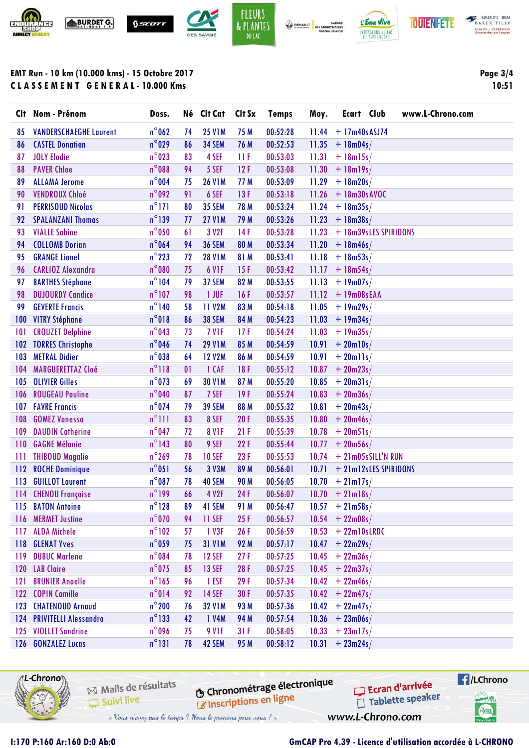





**BAKER TILLY** Experts - Comptables<br>Completeles aix Complet

## **EMT Run - 10 km (10.000 kms) - 15 Octobre 2017 C L A S S E M E N T G E N E R A L - 10.000 Kms**

**Page 3/4 10:51**

| Clt. | Nom - Prénom                  | Doss.           |    | Né Clt Cat    | Clt Sx | <b>Temps</b> | Moy.  | <b>Ecart Club</b>      | www.L-Chrono.com |
|------|-------------------------------|-----------------|----|---------------|--------|--------------|-------|------------------------|------------------|
| 85   | <b>VANDERSCHAEGHE Laurent</b> | $n^{\circ}$ 062 | 74 | <b>25 V1M</b> | 75 M   | 00:52:28     | 11.44 | $+ 17m40:$ ASJ74       |                  |
| 86   | <b>CASTEL Donatien</b>        | $n^{\circ}$ 029 | 86 | 34 SEM        | 76 M   | 00:52:53     | 11.35 | $+ 18m04s/$            |                  |
| 87   | <b>JOLY Elodie</b>            | $n^{\circ}$ 023 | 83 | 4 SEF         | 11 F   | 00:53:03     | 11.31 | $+ 18m15s/$            |                  |
| 88   | <b>PAVER Chloe</b>            | $n^{\circ}088$  | 94 | 5 SEF         | 12F    | 00:53:08     | 11.30 | $+ 18m19s/$            |                  |
| 89   | <b>ALLAMA Jerome</b>          | $n^{\circ}$ 004 | 75 | <b>26 V1M</b> | 77 M   | 00:53:09     | 11.29 | $+ 18m20s/$            |                  |
| 90   | <b>VENDROUX Chloé</b>         | $n^{\circ}$ 092 | 91 | 6 SEF         | 13F    | 00:53:18     | 11.26 | $+ 18m30s$ AVOC        |                  |
| 91   | <b>PERRISOUD Nicolas</b>      | $n^{\circ}$ 171 | 80 | <b>35 SEM</b> | 78 M   | 00:53:24     | 11.24 | $+ 18m35s/$            |                  |
| 92   | <b>SPALANZANI Thomas</b>      | $n^{\circ}$ 139 | 77 | <b>27 V1M</b> | 79 M   | 00:53:26     | 11.23 | $+ 18m38s/$            |                  |
| 93   | <b>VIALLE Sabine</b>          | $n^{\circ}$ 050 | 61 | 3 V2F         | 14 F   | 00:53:28     | 11.23 | + 18m39s LES SPIRIDONS |                  |
| 94   | <b>COLLOMB Dorian</b>         | $n^{\circ}$ 064 | 94 | <b>36 SEM</b> | 80 M   | 00:53:34     | 11.20 | $+ 18m46s/$            |                  |
| 95   | <b>GRANGE Lionel</b>          | $n^{\circ}$ 223 | 72 | <b>28 V1M</b> | 81 M   | 00:53:41     | 11.18 | $+ 18m53s/$            |                  |
| 96   | <b>CARLIOZ Alexandra</b>      | $n^{\circ}080$  | 75 | 6 VIF         | 15F    | 00:53:42     | 11.17 | $+ 18m54s/$            |                  |
| 97   | <b>BARTHES Stéphane</b>       | $n^{\circ}104$  | 79 | 37 SEM        | 82 M   | 00:53:55     | 11.13 | $+ 19m07s/$            |                  |
| 98   | <b>DUJOURDY Candice</b>       | $n^{\circ}107$  | 98 | 1 JUF         | 16F    | 00:53:57     | 11.12 | $+ 19m08: EAA$         |                  |
| 99   | <b>GEVERTE Francis</b>        | $n^{\circ}$ 140 | 58 | 11 V2M        | 83 M   | 00:54:18     | 11.05 | $+ 19m29s/$            |                  |
| 100  | <b>VITRY Stéphane</b>         | $n^{\circ}018$  | 86 | <b>38 SEM</b> | 84 M   | 00:54:23     | 11.03 | $+ 19m34s/$            |                  |
| 101  | <b>CROUZET Delphine</b>       | $n^{\circ}$ 043 | 73 | 7 VIF         | 17F    | 00:54:24     | 11.03 | $+ 19m35s/$            |                  |
| 102  | <b>TORRES Christophe</b>      | $n^{\circ}$ 046 | 74 | <b>29 V1M</b> | 85 M   | 00:54:59     | 10.91 | $+ 20$ m $10s/$        |                  |
| 103  | <b>METRAL Didier</b>          | $n^{\circ}$ 038 | 64 | <b>12 V2M</b> | 86 M   | 00:54:59     | 10.91 | $+20$ mlls/            |                  |
| 104  | <b>MARGUERETTAZ Cloé</b>      | $n^{\circ}118$  | 01 | 1 CAF         | 18F    | 00:55:12     | 10.87 | $+ 20 m 23s/$          |                  |
| 105  | <b>OLIVIER Gilles</b>         | $n^{\circ}$ 073 | 69 | <b>30 V1M</b> | 87 M   | 00:55:20     | 10.85 | $+ 20 m31s/$           |                  |
| 106  | <b>ROUGEAU Pauline</b>        | $n^{\circ}$ 040 | 87 | 7 SEF         | 19F    | 00:55:24     | 10.83 | $+ 20 m 36 s/$         |                  |
| 107  | <b>FAVRE Francis</b>          | $n^{\circ}$ 074 | 79 | <b>39 SEM</b> | 88 M   | 00:55:32     | 10.81 | $+ 20m43s/$            |                  |
| 108  | <b>GOMEZ Vanessa</b>          | $n^{\circ}$ ]]] | 83 | 8 SEF         | 20F    | 00:55:35     | 10.80 | $+ 20m46s/$            |                  |
| 109  | <b>DAUDIN Catherine</b>       | $n^{\circ}$ 047 | 72 | <b>8 V1F</b>  | 21F    | 00:55:39     | 10.78 | $+ 20 m 51$ s /        |                  |
| 110  | <b>GAGNE Mélanie</b>          | $n^{\circ}$ 143 | 80 | 9 SEF         | 22F    | 00:55:44     | 10.77 | $+ 20 m 56 s/$         |                  |
| Ш    | <b>THIBOUD Magalie</b>        | $n^{\circ}$ 269 | 78 | <b>10 SEF</b> | 23F    | 00:55:53     | 10.74 | $+21m05s$ SILL'N RUN   |                  |
| 112  | <b>ROCHE Dominique</b>        | $n^{\circ}051$  | 56 | 3 V3M         | 89 M   | 00:56:01     | 10.71 | + 21m12sLES SPIRIDONS  |                  |
| 113  | <b>GUILLOT Laurent</b>        | $n^{\circ}$ 087 | 78 | 40 SEM        | 90 M   | 00:56:05     | 10.70 | $+ 21$ ml7s/           |                  |
| 114  | <b>CHENOU Françoise</b>       | $n^{\circ}$ 199 | 66 | 4 V2F         | 24F    | 00:56:07     | 10.70 | $+21$ m $18$ s/        |                  |
| 115  | <b>BATON Antoine</b>          | $n^{\circ}$ 128 | 89 | 41 SEM        | 91 M   | 00:56:47     | 10.57 | $+21m58s/$             |                  |
| 116  | <b>MERMET Justine</b>         | $n^{\circ}$ 070 | 94 | 11 SEF        | 25F    | 00:56:57     | 10.54 | $+ 22m08s/$            |                  |
| 117  | <b>ALDA Michele</b>           | $n^{\circ}102$  | 57 | 1 V3F         | 26 F   | 00:56:59     | 10.53 | $+ 22$ ml 0s LRDC      |                  |
| 118  | <b>GLENAT Yves</b>            | $n^{\circ}$ 059 | 75 | <b>31 V1M</b> | 92 M   | 00:57:17     | 10.47 | $+ 22m29s/$            |                  |
| 119  | <b>DUBUC Marlene</b>          | $n^{\circ}084$  | 78 | <b>12 SEF</b> | 27F    | 00:57:25     | 10.45 | $+ 22m36s/$            |                  |
| 120  | <b>LAB Claire</b>             | $n^{\circ}$ 075 | 85 | <b>13 SEF</b> | 28 F   | 00:57:25     | 10.45 | $+ 22m37s/$            |                  |
| 121  | <b>BRUNIER Anaelle</b>        | $n^{\circ}165$  | 96 | 1 ESF         | 29F    | 00:57:34     | 10.42 | $+ 22m46s/$            |                  |
|      | 122 COPIN Camille             | $n^{\circ}014$  | 92 | <b>14 SEF</b> | 30 F   | 00:57:35     | 10.42 | $+ 22m47s/$            |                  |
| 123  | <b>CHATENOUD Arnaud</b>       | $n^{\circ}200$  | 76 | <b>32 V1M</b> | 93 M   | 00:57:36     | 10.42 | $+ 22m47s/$            |                  |
| 124  | <b>PRIVITELLI Alessandro</b>  | $n^{\circ}$ 133 | 42 | 1 V4M         | 94 M   | 00:57:54     | 10.36 | $+ 23m06s/$            |                  |
|      | 125 VIOLLET Sandrine          | $n^{\circ}$ 096 | 75 | 9 VIF         | 31F    | 00:58:05     | 10.33 | $+ 23$ ml7s/           |                  |
| 126  | <b>GONZALEZ Lucas</b>         | $n^{\circ}131$  | 78 | 42 SEM        | 95 M   | 00:58:12     | 10.31 | $+ 23m24s/$            |                  |